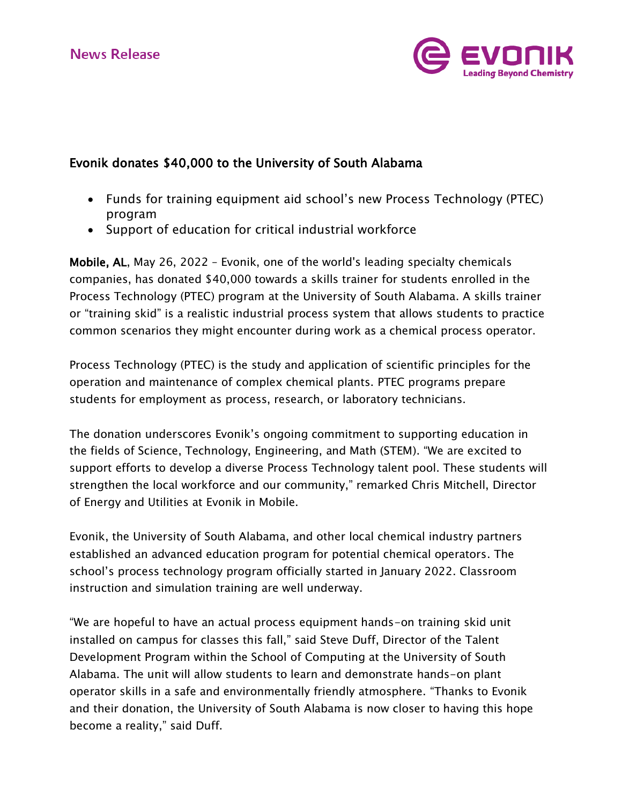

# Evonik donates \$40,000 to the University of South Alabama

- Funds for training equipment aid school's new Process Technology (PTEC) program
- Support of education for critical industrial workforce

Mobile, AL, May 26, 2022 - Evonik, one of the world's leading specialty chemicals companies, has donated \$40,000 towards a skills trainer for students enrolled in the Process Technology (PTEC) program at the University of South Alabama. A skills trainer or "training skid" is a realistic industrial process system that allows students to practice common scenarios they might encounter during work as a chemical process operator.

Process Technology (PTEC) is the study and application of scientific principles for the operation and maintenance of complex chemical plants. PTEC programs prepare students for employment as process, research, or laboratory technicians.

The donation underscores Evonik's ongoing commitment to supporting education in the fields of Science, Technology, Engineering, and Math (STEM). "We are excited to support efforts to develop a diverse Process Technology talent pool. These students will strengthen the local workforce and our community," remarked Chris Mitchell, Director of Energy and Utilities at Evonik in Mobile.

Evonik, the University of South Alabama, and other local chemical industry partners established an advanced education program for potential chemical operators. The school's process technology program officially started in January 2022. Classroom instruction and simulation training are well underway.

"We are hopeful to have an actual process equipment hands-on training skid unit installed on campus for classes this fall," said Steve Duff, Director of the Talent Development Program within the School of Computing at the University of South Alabama. The unit will allow students to learn and demonstrate hands-on plant operator skills in a safe and environmentally friendly atmosphere. "Thanks to Evonik and their donation, the University of South Alabama is now closer to having this hope become a reality," said Duff.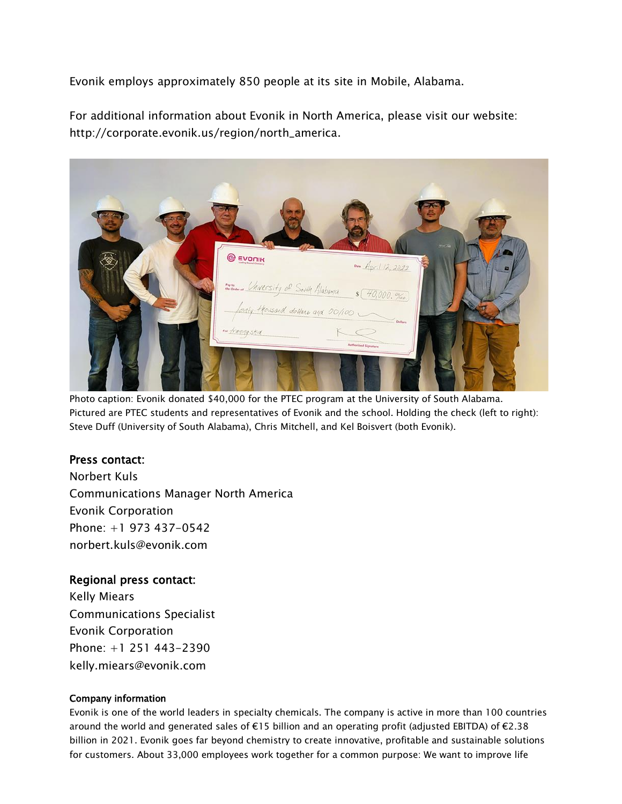Evonik employs approximately 850 people at its site in Mobile, Alabama.

For additional information about Evonik in North America, please visit our website: [http://corporate.evonik.us/region/north\\_america](http://corporate.evonik.us/region/north_america).

| <b>EVONIK</b><br>on Apr. 112, 2022                                                                      |
|---------------------------------------------------------------------------------------------------------|
| Manuel University of South Alabama 5 (40,000. 9/00)<br>forty Howard dollars and 00/100<br>$\leq$ Defiam |
| Now framing skid<br><b>Authorized Signature</b>                                                         |

Photo caption: Evonik donated \$40,000 for the PTEC program at the University of South Alabama. Pictured are PTEC students and representatives of Evonik and the school. Holding the check (left to right): Steve Duff (University of South Alabama), Chris Mitchell, and Kel Boisvert (both Evonik).

# Press contact:

Norbert Kuls Communications Manager North America Evonik Corporation Phone: +1 973 437-0542 norbert.kul[s@evonik.com](mailto:robert.brown@evonik.com)

# Regional press contact:

Kelly Miears Communications Specialist Evonik Corporation Phone: +1 251 443-2390 [kelly.miears@evonik.com](mailto:kelly.miears@evonik.com)

## Company information

Evonik is one of the world leaders in specialty chemicals. The company is active in more than 100 countries around the world and generated sales of €15 billion and an operating profit (adjusted EBITDA) of €2.38 billion in 2021. Evonik goes far beyond chemistry to create innovative, profitable and sustainable solutions for customers. About 33,000 employees work together for a common purpose: We want to improve life